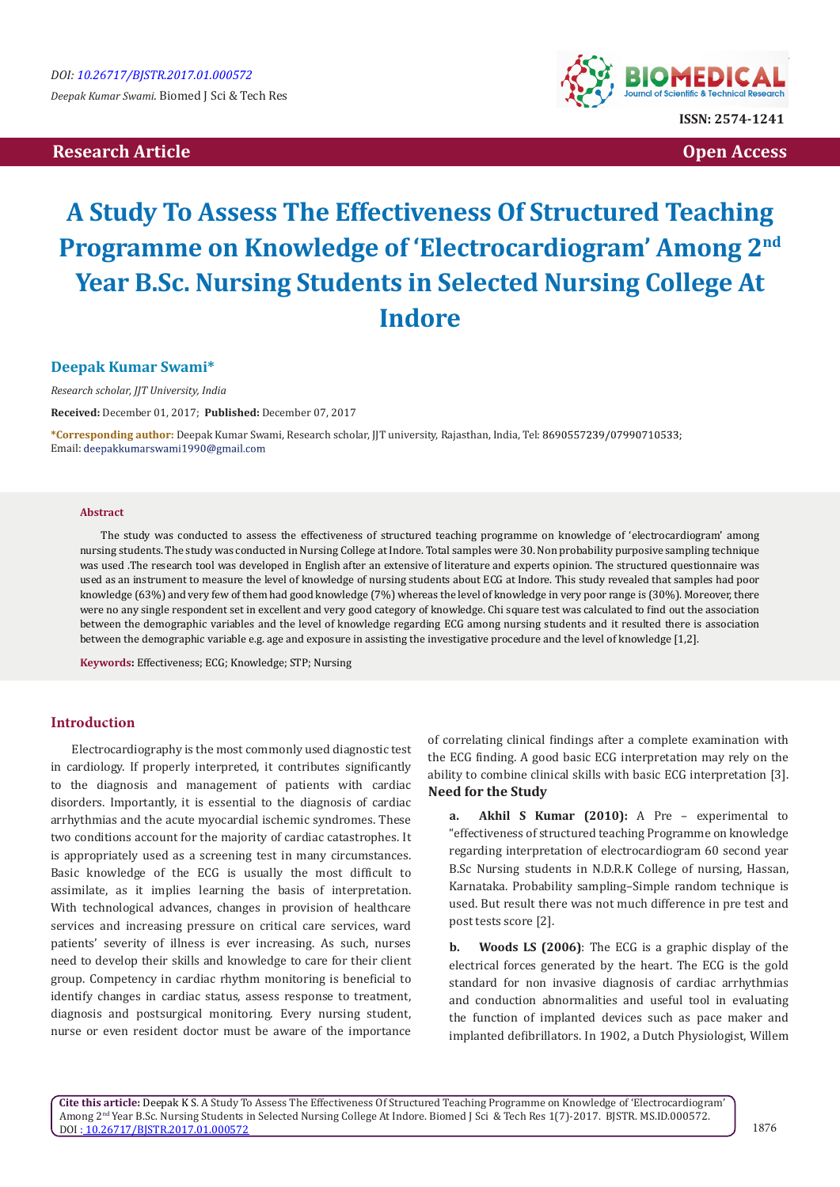# **Research Article Community Community Community Community Community Community Community Community Community Community Community Community Community Community Community Community Community Community Community Community Com**



# **A Study To Assess The Effectiveness Of Structured Teaching Programme on Knowledge of 'Electrocardiogram' Among 2nd Year B.Sc. Nursing Students in Selected Nursing College At Indore**

## **Deepak Kumar Swami\***

*Research scholar, JJT University, India*

**Received:** December 01, 2017; **Published:** December 07, 2017

**\*Corresponding author:** Deepak Kumar Swami, Research scholar, JJT university, Rajasthan, India, Tel: Email: deepakkumarswami1990@gmail.com

#### **Abstract**

The study was conducted to assess the effectiveness of structured teaching programme on knowledge of 'electrocardiogram' among nursing students. The study was conducted in Nursing College at Indore. Total samples were 30. Non probability purposive sampling technique was used .The research tool was developed in English after an extensive of literature and experts opinion. The structured questionnaire was used as an instrument to measure the level of knowledge of nursing students about ECG at Indore. This study revealed that samples had poor knowledge (63%) and very few of them had good knowledge (7%) whereas the level of knowledge in very poor range is (30%). Moreover, there were no any single respondent set in excellent and very good category of knowledge. Chi square test was calculated to find out the association between the demographic variables and the level of knowledge regarding ECG among nursing students and it resulted there is association between the demographic variable e.g. age and exposure in assisting the investigative procedure and the level of knowledge [1,2].

**Keywords:** Effectiveness; ECG; Knowledge; STP; Nursing

## **Introduction**

Electrocardiography is the most commonly used diagnostic test in cardiology. If properly interpreted, it contributes significantly to the diagnosis and management of patients with cardiac disorders. Importantly, it is essential to the diagnosis of cardiac arrhythmias and the acute myocardial ischemic syndromes. These two conditions account for the majority of cardiac catastrophes. It is appropriately used as a screening test in many circumstances. Basic knowledge of the ECG is usually the most difficult to assimilate, as it implies learning the basis of interpretation. With technological advances, changes in provision of healthcare services and increasing pressure on critical care services, ward patients' severity of illness is ever increasing. As such, nurses need to develop their skills and knowledge to care for their client group. Competency in cardiac rhythm monitoring is beneficial to identify changes in cardiac status, assess response to treatment, diagnosis and postsurgical monitoring. Every nursing student, nurse or even resident doctor must be aware of the importance

of correlating clinical findings after a complete examination with the ECG finding. A good basic ECG interpretation may rely on the ability to combine clinical skills with basic ECG interpretation [3]. **Need for the Study**

**a. Akhil S Kumar (2010):** A Pre – experimental to "effectiveness of structured teaching Programme on knowledge regarding interpretation of electrocardiogram 60 second year B.Sc Nursing students in N.D.R.K College of nursing, Hassan, Karnataka. Probability sampling–Simple random technique is used. But result there was not much difference in pre test and post tests score [2].

**b. Woods LS (2006)**: The ECG is a graphic display of the electrical forces generated by the heart. The ECG is the gold standard for non invasive diagnosis of cardiac arrhythmias and conduction abnormalities and useful tool in evaluating the function of implanted devices such as pace maker and implanted defibrillators. In 1902, a Dutch Physiologist, Willem

**Cite this article:** Deepak K S. A Study To Assess The Effectiveness Of Structured Teaching Programme on Knowledge of 'Electrocardiogram' Among 2nd Year B.Sc. Nursing Students in Selected Nursing College At Indore. Biomed J Sci & Tech Res 1(7)-2017. BJSTR. MS.ID.000572. DOI [: 10.26717/BJSTR.2017.01.000572](http://dx.doi.org/10.26717/BJSTR.2017.01.000572)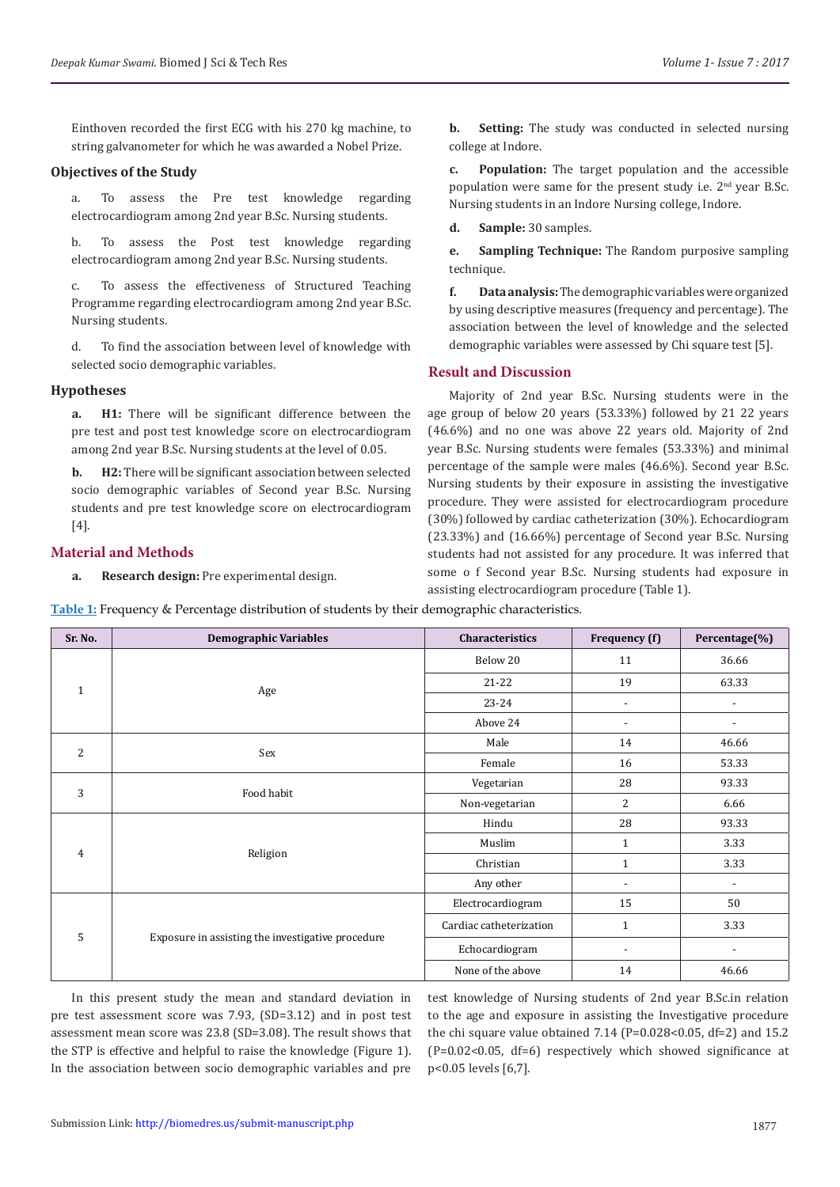Einthoven recorded the first ECG with his 270 kg machine, to string galvanometer for which he was awarded a Nobel Prize.

### **Objectives of the Study**

a. To assess the Pre test knowledge regarding electrocardiogram among 2nd year B.Sc. Nursing students.

b. To assess the Post test knowledge regarding electrocardiogram among 2nd year B.Sc. Nursing students.

c. To assess the effectiveness of Structured Teaching Programme regarding electrocardiogram among 2nd year B.Sc. Nursing students.

d. To find the association between level of knowledge with selected socio demographic variables.

### **Hypotheses**

**a. H1:** There will be significant difference between the pre test and post test knowledge score on electrocardiogram among 2nd year B.Sc. Nursing students at the level of 0.05.

**b. H2:** There will be significant association between selected socio demographic variables of Second year B.Sc. Nursing students and pre test knowledge score on electrocardiogram [4].

## **Material and Methods**

**a. Research design:** Pre experimental design.

**b. Setting:** The study was conducted in selected nursing college at Indore.

**c. Population:** The target population and the accessible population were same for the present study i.e.  $2<sup>nd</sup>$  year B.Sc. Nursing students in an Indore Nursing college, Indore.

**d. Sample:** 30 samples.

**e. Sampling Technique:** The Random purposive sampling technique.

**f. Data analysis:** The demographic variables were organized by using descriptive measures (frequency and percentage). The association between the level of knowledge and the selected demographic variables were assessed by Chi square test [5].

#### **Result and Discussion**

Majority of 2nd year B.Sc. Nursing students were in the age group of below 20 years (53.33%) followed by 21 22 years (46.6%) and no one was above 22 years old. Majority of 2nd year B.Sc. Nursing students were females (53.33%) and minimal percentage of the sample were males (46.6%). Second year B.Sc. Nursing students by their exposure in assisting the investigative procedure. They were assisted for electrocardiogram procedure (30%) followed by cardiac catheterization (30%). Echocardiogram (23.33%) and (16.66%) percentage of Second year B.Sc. Nursing students had not assisted for any procedure. It was inferred that some o f Second year B.Sc. Nursing students had exposure in assisting electrocardiogram procedure (Table 1).

**Table 1:** Frequency & Percentage distribution of students by their demographic characteristics.

| Sr. No.        | <b>Demographic Variables</b>                      | Characteristics         | Frequency (f)            | Percentage(%)            |
|----------------|---------------------------------------------------|-------------------------|--------------------------|--------------------------|
| $\mathbf{1}$   | Age                                               | Below 20                | 11                       | 36.66                    |
|                |                                                   | $21 - 22$               | 19                       | 63.33                    |
|                |                                                   | $23 - 24$               | $\overline{\phantom{a}}$ | $\overline{\phantom{a}}$ |
|                |                                                   | Above 24                | $\overline{\phantom{a}}$ | $\overline{\phantom{a}}$ |
| $\overline{2}$ | Sex                                               | Male                    | 14                       | 46.66                    |
|                |                                                   | Female                  | 16                       | 53.33                    |
| 3              | Food habit                                        | Vegetarian              | 28                       | 93.33                    |
|                |                                                   | Non-vegetarian          | 2                        | 6.66                     |
| $\overline{4}$ | Religion                                          | Hindu                   | 28                       | 93.33                    |
|                |                                                   | Muslim                  | $\mathbf{1}$             | 3.33                     |
|                |                                                   | Christian               | $\mathbf{1}$             | 3.33                     |
|                |                                                   | Any other               | $\overline{\phantom{a}}$ | $\overline{\phantom{a}}$ |
| 5              | Exposure in assisting the investigative procedure | Electrocardiogram       | 15                       | 50                       |
|                |                                                   | Cardiac catheterization | $\mathbf{1}$             | 3.33                     |
|                |                                                   | Echocardiogram          | $\overline{\phantom{0}}$ | $\overline{\phantom{a}}$ |
|                |                                                   | None of the above       | 14                       | 46.66                    |

In this present study the mean and standard deviation in pre test assessment score was 7.93, (SD=3.12) and in post test assessment mean score was 23.8 (SD=3.08). The result shows that the STP is effective and helpful to raise the knowledge (Figure 1). In the association between socio demographic variables and pre test knowledge of Nursing students of 2nd year B.Sc.in relation to the age and exposure in assisting the Investigative procedure the chi square value obtained  $7.14$  (P=0.028<0.05, df=2) and  $15.2$ (P=0.02<0.05, df=6) respectively which showed significance at p<0.05 levels [6,7].